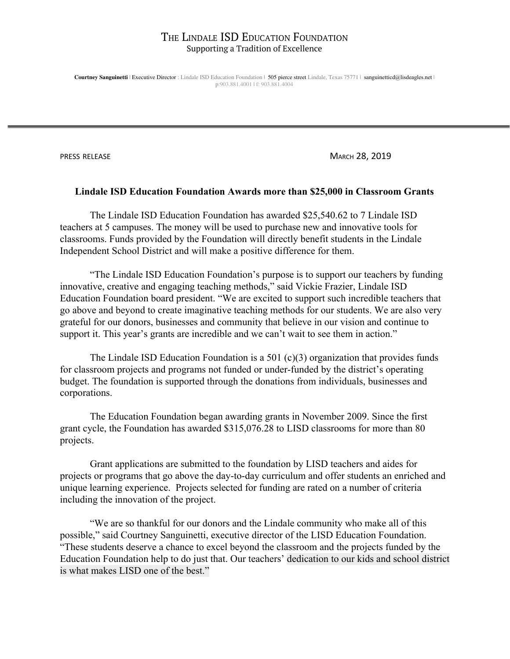#### THE LINDALE ISD EDUCATION FOUNDATION Supporting a Tradition of Excellence

**Courtney Sanguinetti** | Executive Director : Lindale ISD Education Foundation | 505 pierce street Lindale, Texas 75771 | sanguinetticd@lisdeagles.net | p:903.881.4001 | f: 903.881.4004

PRESS RELEASE MARCH 28, 2019

#### **Lindale ISD Education Foundation Awards more than \$25,000 in Classroom Grants**

The Lindale ISD Education Foundation has awarded \$25,540.62 to 7 Lindale ISD teachers at 5 campuses. The money will be used to purchase new and innovative tools for classrooms. Funds provided by the Foundation will directly benefit students in the Lindale Independent School District and will make a positive difference for them.

"The Lindale ISD Education Foundation's purpose is to support our teachers by funding innovative, creative and engaging teaching methods," said Vickie Frazier, Lindale ISD Education Foundation board president. "We are excited to support such incredible teachers that go above and beyond to create imaginative teaching methods for our students. We are also very grateful for our donors, businesses and community that believe in our vision and continue to support it. This year's grants are incredible and we can't wait to see them in action."

The Lindale ISD Education Foundation is a 501 (c)(3) organization that provides funds for classroom projects and programs not funded or under-funded by the district's operating budget. The foundation is supported through the donations from individuals, businesses and corporations.

The Education Foundation began awarding grants in November 2009. Since the first grant cycle, the Foundation has awarded \$315,076.28 to LISD classrooms for more than 80 projects.

Grant applications are submitted to the foundation by LISD teachers and aides for projects or programs that go above the day-to-day curriculum and offer students an enriched and unique learning experience. Projects selected for funding are rated on a number of criteria including the innovation of the project.

"We are so thankful for our donors and the Lindale community who make all of this possible," said Courtney Sanguinetti, executive director of the LISD Education Foundation. "These students deserve a chance to excel beyond the classroom and the projects funded by the Education Foundation help to do just that. Our teachers' dedication to our kids and school district is what makes LISD one of the best."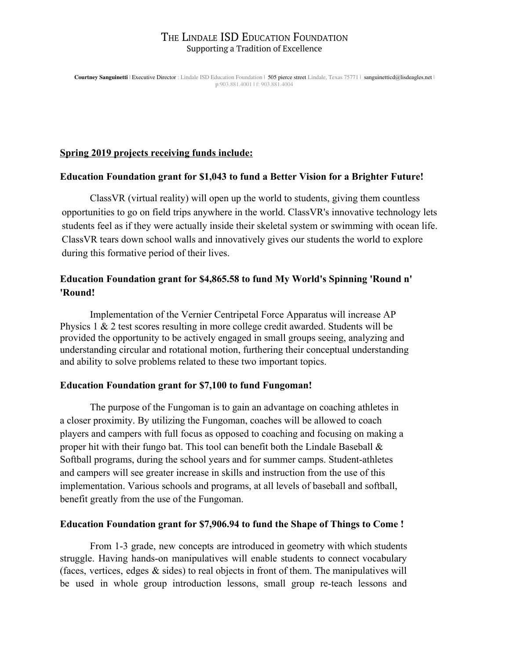## THE LINDALE ISD EDUCATION FOUNDATION Supporting a Tradition of Excellence

**Courtney Sanguinetti** | Executive Director : Lindale ISD Education Foundation | 505 pierce street Lindale, Texas 75771 | sanguinetticd@lisdeagles.net | p:903.881.4001 | f: 903.881.4004

# **Spring 2019 projects receiving funds include:**

## **Education Foundation grant for \$1,043 to fund a Better Vision for a Brighter Future!**

ClassVR (virtual reality) will open up the world to students, giving them countless opportunities to go on field trips anywhere in the world. ClassVR's innovative technology lets students feel as if they were actually inside their skeletal system or swimming with ocean life. ClassVR tears down school walls and innovatively gives our students the world to explore during this formative period of their lives.

# **Education Foundation grant for \$4,865.58 to fund My World's Spinning 'Round n' 'Round!**

Implementation of the Vernier Centripetal Force Apparatus will increase AP Physics 1 & 2 test scores resulting in more college credit awarded. Students will be provided the opportunity to be actively engaged in small groups seeing, analyzing and understanding circular and rotational motion, furthering their conceptual understanding and ability to solve problems related to these two important topics.

## **Education Foundation grant for \$7,100 to fund Fungoman!**

The purpose of the Fungoman is to gain an advantage on coaching athletes in a closer proximity. By utilizing the Fungoman, coaches will be allowed to coach players and campers with full focus as opposed to coaching and focusing on making a proper hit with their fungo bat. This tool can benefit both the Lindale Baseball & Softball programs, during the school years and for summer camps. Student-athletes and campers will see greater increase in skills and instruction from the use of this implementation. Various schools and programs, at all levels of baseball and softball, benefit greatly from the use of the Fungoman.

#### **Education Foundation grant for \$7,906.94 to fund the Shape of Things to Come !**

From 1-3 grade, new concepts are introduced in geometry with which students struggle. Having hands-on manipulatives will enable students to connect vocabulary (faces, vertices, edges & sides) to real objects in front of them. The manipulatives will be used in whole group introduction lessons, small group re-teach lessons and